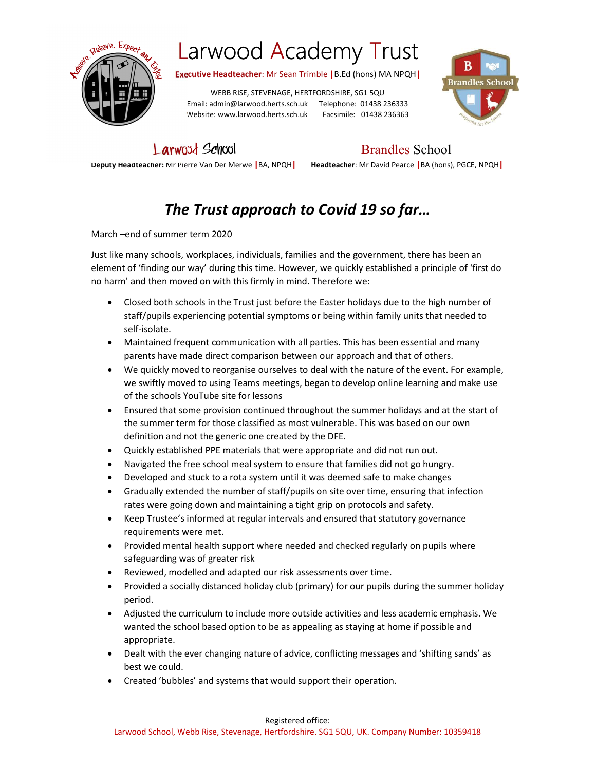

Executive Headteacher: Mr Sean Trimble |B.Ed (hons) MA NPQH|

WEBB RISE, STEVENAGE, HERTFORDSHIRE, SG1 5QU Email: admin@larwood.herts.sch.uk Telephone: 01438 236333 Website: www.larwood.herts.sch.uk Facsimile: 01438 236363



Larwood School Brandles School

Deputy Headteacher: Mr Pierre Van Der Merwe |BA, NPQH| Headteacher: Mr David Pearce |BA (hons), PGCE, NPQH|

### The Trust approach to Covid 19 so far…

### March –end of summer term 2020

Just like many schools, workplaces, individuals, families and the government, there has been an element of 'finding our way' during this time. However, we quickly established a principle of 'first do no harm' and then moved on with this firmly in mind. Therefore we:

- Closed both schools in the Trust just before the Easter holidays due to the high number of staff/pupils experiencing potential symptoms or being within family units that needed to self-isolate.
- Maintained frequent communication with all parties. This has been essential and many parents have made direct comparison between our approach and that of others.
- We quickly moved to reorganise ourselves to deal with the nature of the event. For example, we swiftly moved to using Teams meetings, began to develop online learning and make use of the schools YouTube site for lessons
- Ensured that some provision continued throughout the summer holidays and at the start of the summer term for those classified as most vulnerable. This was based on our own definition and not the generic one created by the DFE.
- Quickly established PPE materials that were appropriate and did not run out.
- Navigated the free school meal system to ensure that families did not go hungry.
- Developed and stuck to a rota system until it was deemed safe to make changes
- Gradually extended the number of staff/pupils on site over time, ensuring that infection rates were going down and maintaining a tight grip on protocols and safety.
- Keep Trustee's informed at regular intervals and ensured that statutory governance requirements were met.
- Provided mental health support where needed and checked regularly on pupils where safeguarding was of greater risk
- Reviewed, modelled and adapted our risk assessments over time.
- Provided a socially distanced holiday club (primary) for our pupils during the summer holiday period.
- Adjusted the curriculum to include more outside activities and less academic emphasis. We wanted the school based option to be as appealing as staying at home if possible and appropriate.
- Dealt with the ever changing nature of advice, conflicting messages and 'shifting sands' as best we could.
- Created 'bubbles' and systems that would support their operation.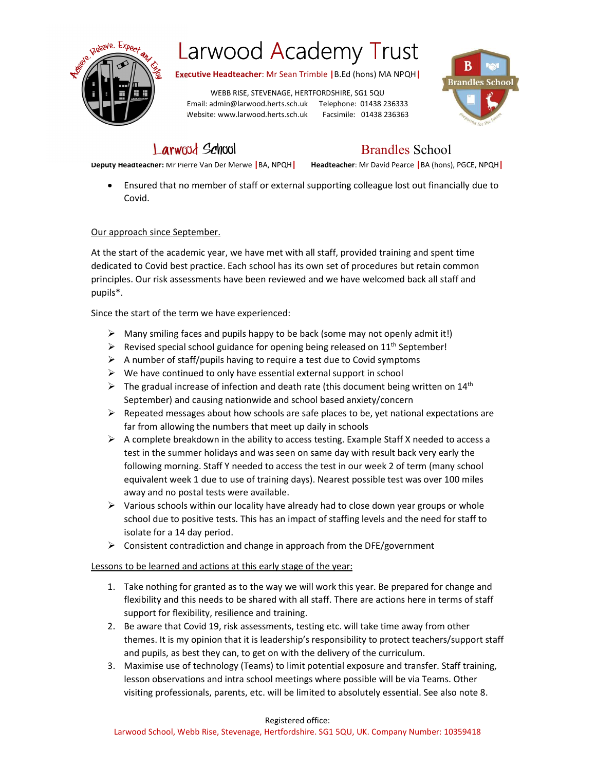

Executive Headteacher: Mr Sean Trimble |B.Ed (hons) MA NPQH|

WEBB RISE, STEVENAGE, HERTFORDSHIRE, SG1 5QU Email: admin@larwood.herts.sch.uk Telephone: 01438 236333 Website: www.larwood.herts.sch.uk Facsimile: 01438 236363



### Larwood School Brandles School

Deputy Headteacher: Mr Pierre Van Der Merwe |BA, NPQH| Headteacher: Mr David Pearce |BA (hons), PGCE, NPQH|

 Ensured that no member of staff or external supporting colleague lost out financially due to Covid.

### Our approach since September.

At the start of the academic year, we have met with all staff, provided training and spent time dedicated to Covid best practice. Each school has its own set of procedures but retain common principles. Our risk assessments have been reviewed and we have welcomed back all staff and pupils\*.

Since the start of the term we have experienced:

- $\triangleright$  Many smiling faces and pupils happy to be back (some may not openly admit it!)
- $\triangleright$  Revised special school guidance for opening being released on 11<sup>th</sup> September!
- $\triangleright$  A number of staff/pupils having to require a test due to Covid symptoms
- $\triangleright$  We have continued to only have essential external support in school
- $\triangleright$  The gradual increase of infection and death rate (this document being written on 14<sup>th</sup> September) and causing nationwide and school based anxiety/concern
- $\triangleright$  Repeated messages about how schools are safe places to be, yet national expectations are far from allowing the numbers that meet up daily in schools
- $\triangleright$  A complete breakdown in the ability to access testing. Example Staff X needed to access a test in the summer holidays and was seen on same day with result back very early the following morning. Staff Y needed to access the test in our week 2 of term (many school equivalent week 1 due to use of training days). Nearest possible test was over 100 miles away and no postal tests were available.
- $\triangleright$  Various schools within our locality have already had to close down year groups or whole school due to positive tests. This has an impact of staffing levels and the need for staff to isolate for a 14 day period.
- $\triangleright$  Consistent contradiction and change in approach from the DFE/government

### Lessons to be learned and actions at this early stage of the year:

- 1. Take nothing for granted as to the way we will work this year. Be prepared for change and flexibility and this needs to be shared with all staff. There are actions here in terms of staff support for flexibility, resilience and training.
- 2. Be aware that Covid 19, risk assessments, testing etc. will take time away from other themes. It is my opinion that it is leadership's responsibility to protect teachers/support staff and pupils, as best they can, to get on with the delivery of the curriculum.
- 3. Maximise use of technology (Teams) to limit potential exposure and transfer. Staff training, lesson observations and intra school meetings where possible will be via Teams. Other visiting professionals, parents, etc. will be limited to absolutely essential. See also note 8.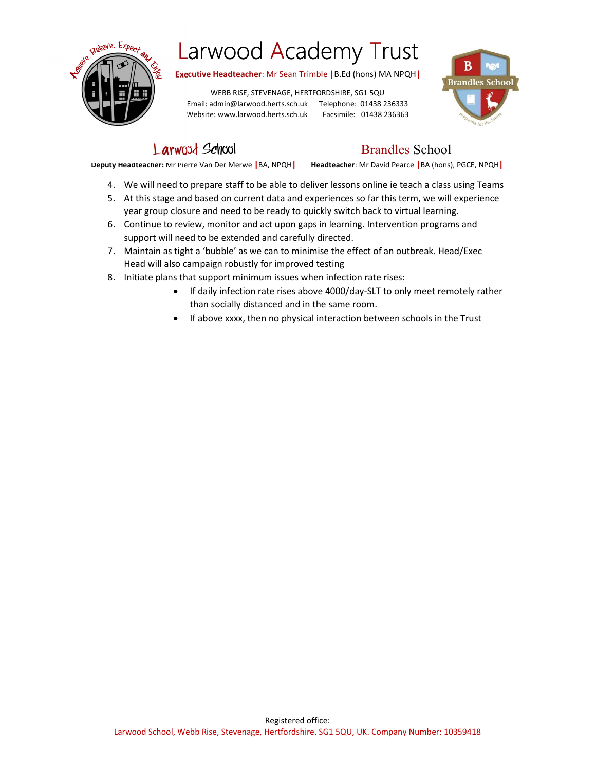

Executive Headteacher: Mr Sean Trimble |B.Ed (hons) MA NPQH|

WEBB RISE, STEVENAGE, HERTFORDSHIRE, SG1 5QU Email: admin@larwood.herts.sch.uk Telephone: 01438 236333 Website: www.larwood.herts.sch.uk Facsimile: 01438 236363



Larwood School Brandles School

Deputy Headteacher: Mr Pierre Van Der Merwe |BA, NPQH| Headteacher: Mr David Pearce |BA (hons), PGCE, NPQH|

- 
- 4. We will need to prepare staff to be able to deliver lessons online ie teach a class using Teams 5. At this stage and based on current data and experiences so far this term, we will experience year group closure and need to be ready to quickly switch back to virtual learning.
- 6. Continue to review, monitor and act upon gaps in learning. Intervention programs and support will need to be extended and carefully directed.
- 7. Maintain as tight a 'bubble' as we can to minimise the effect of an outbreak. Head/Exec Head will also campaign robustly for improved testing
- 8. Initiate plans that support minimum issues when infection rate rises:
	- If daily infection rate rises above 4000/day-SLT to only meet remotely rather than socially distanced and in the same room.
	- If above xxxx, then no physical interaction between schools in the Trust